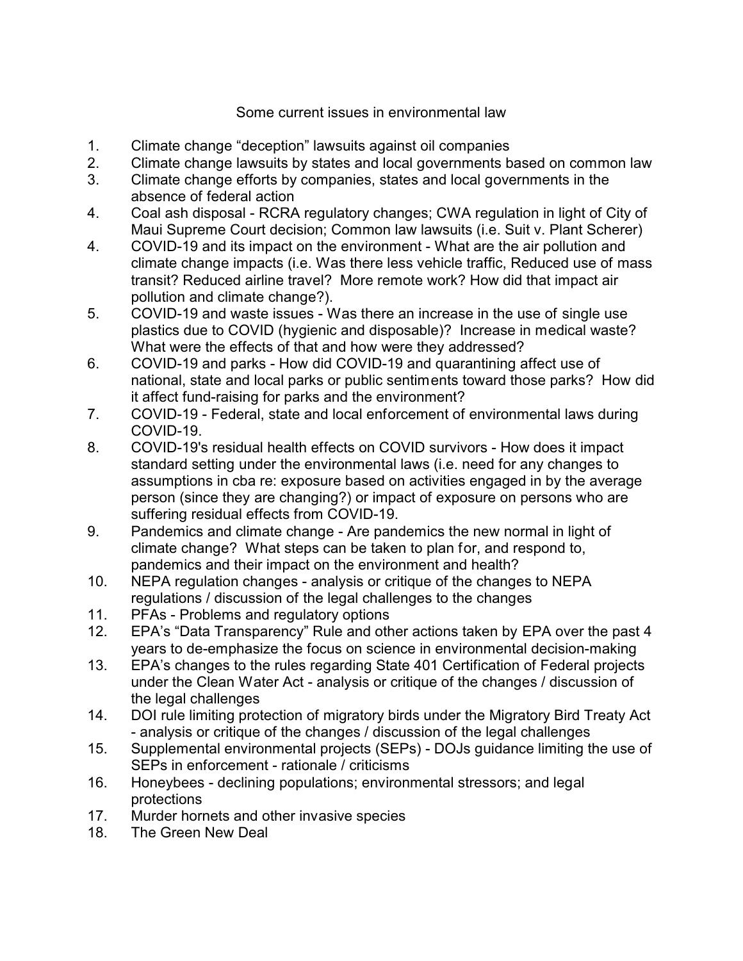## Some current issues in environmental law

- 1. Climate change "deception" lawsuits against oil companies
- 2. Climate change lawsuits by states and local governments based on common law
- 3. Climate change efforts by companies, states and local governments in the absence of federal action
- 4. Coal ash disposal RCRA regulatory changes; CWA regulation in light of City of Maui Supreme Court decision; Common law lawsuits (i.e. Suit v. Plant Scherer)
- 4. COVID-19 and its impact on the environment What are the air pollution and climate change impacts (i.e. Was there less vehicle traffic, Reduced use of mass transit? Reduced airline travel? More remote work? How did that impact air pollution and climate change?).
- 5. COVID-19 and waste issues Was there an increase in the use of single use plastics due to COVID (hygienic and disposable)? Increase in medical waste? What were the effects of that and how were they addressed?
- 6. COVID-19 and parks How did COVID-19 and quarantining affect use of national, state and local parks or public sentiments toward those parks? How did it affect fund-raising for parks and the environment?
- 7. COVID-19 Federal, state and local enforcement of environmental laws during COVID-19.
- 8. COVID-19's residual health effects on COVID survivors How does it impact standard setting under the environmental laws (i.e. need for any changes to assumptions in cba re: exposure based on activities engaged in by the average person (since they are changing?) or impact of exposure on persons who are suffering residual effects from COVID-19.
- 9. Pandemics and climate change Are pandemics the new normal in light of climate change? What steps can be taken to plan for, and respond to, pandemics and their impact on the environment and health?
- 10. NEPA regulation changes analysis or critique of the changes to NEPA regulations / discussion of the legal challenges to the changes
- 11. PFAs Problems and regulatory options
- 12. EPA's "Data Transparency" Rule and other actions taken by EPA over the past 4 years to de-emphasize the focus on science in environmental decision-making
- 13. EPA's changes to the rules regarding State 401 Certification of Federal projects under the Clean Water Act - analysis or critique of the changes / discussion of the legal challenges
- 14. DOI rule limiting protection of migratory birds under the Migratory Bird Treaty Act - analysis or critique of the changes / discussion of the legal challenges
- 15. Supplemental environmental projects (SEPs) DOJs guidance limiting the use of SEPs in enforcement - rationale / criticisms
- 16. Honeybees declining populations; environmental stressors; and legal protections
- 17. Murder hornets and other invasive species
- 18. The Green New Deal